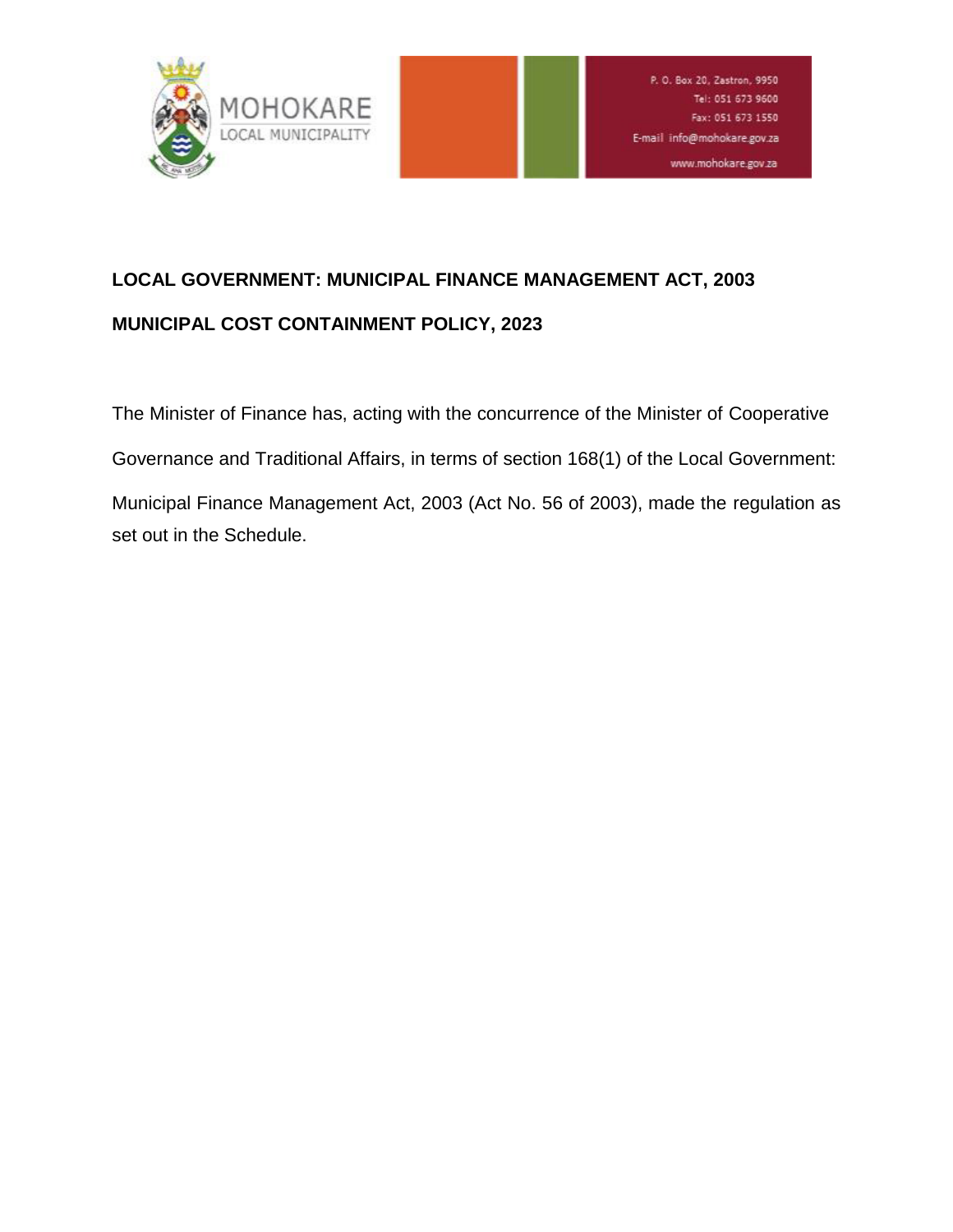

# **LOCAL GOVERNMENT: MUNICIPAL FINANCE MANAGEMENT ACT, 2003 MUNICIPAL COST CONTAINMENT POLICY, 2023**

The Minister of Finance has, acting with the concurrence of the Minister of Cooperative Governance and Traditional Affairs, in terms of section 168(1) of the Local Government: Municipal Finance Management Act, 2003 (Act No. 56 of 2003), made the regulation as set out in the Schedule.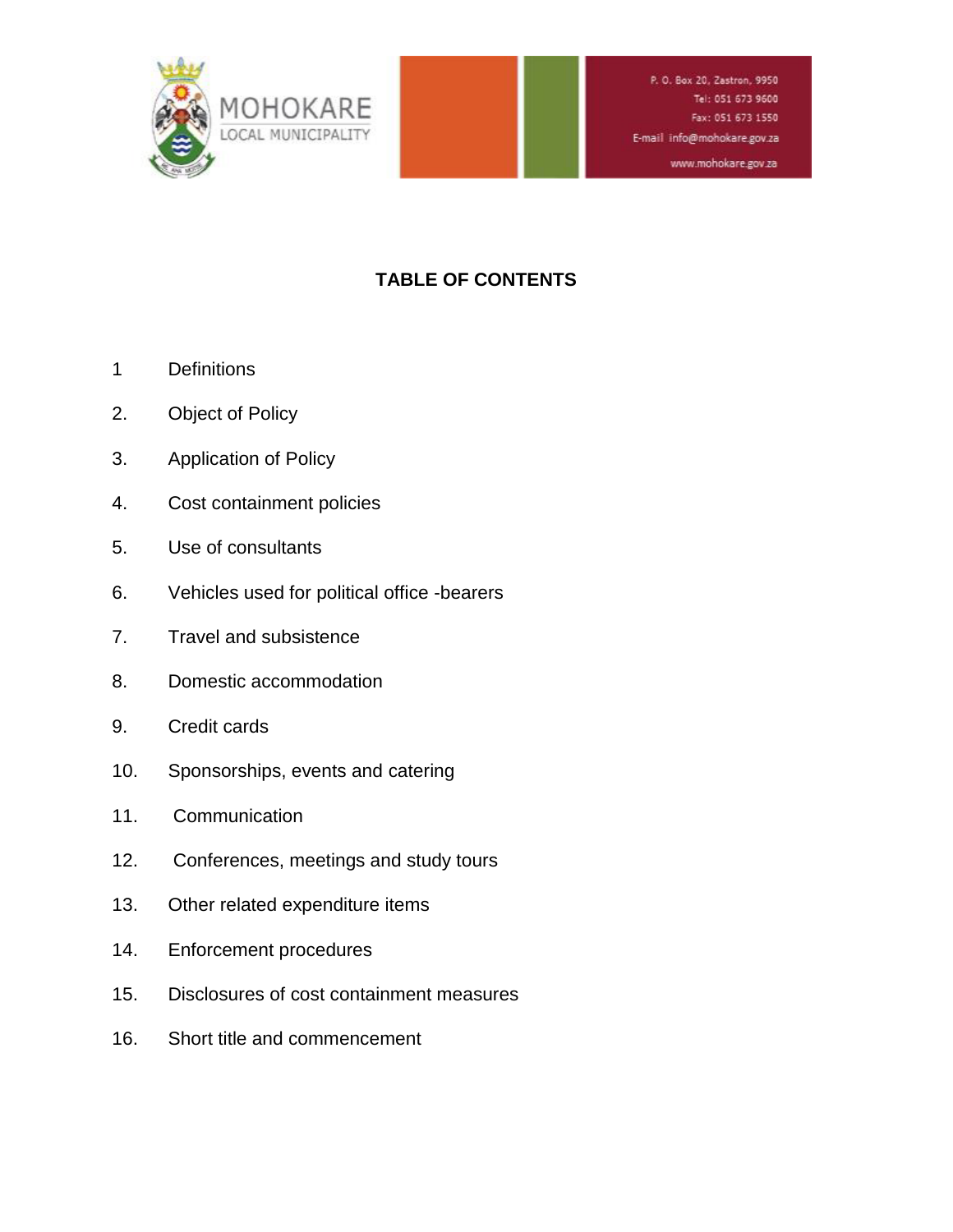

#### www.mohokare.gov.za

# **TABLE OF CONTENTS**

- 1 Definitions
- 2. Object of Policy
- 3. Application of Policy
- 4. Cost containment policies
- 5. Use of consultants
- 6. Vehicles used for political office -bearers
- 7. Travel and subsistence
- 8. Domestic accommodation
- 9. Credit cards
- 10. Sponsorships, events and catering
- 11. Communication
- 12. Conferences, meetings and study tours
- 13. Other related expenditure items
- 14. Enforcement procedures
- 15. Disclosures of cost containment measures
- 16. Short title and commencement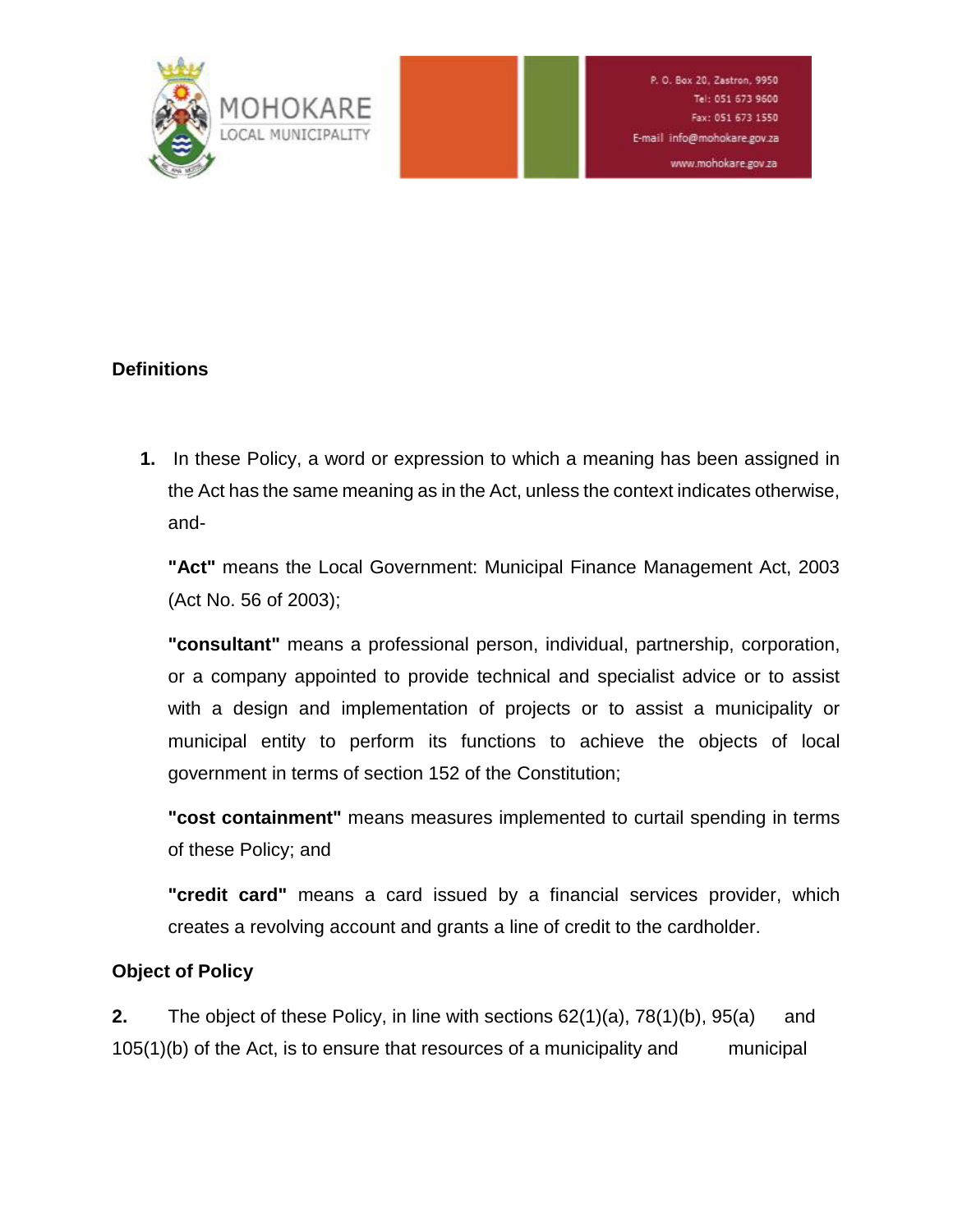

# **Definitions**

**1.** In these Policy, a word or expression to which a meaning has been assigned in the Act has the same meaning as in the Act, unless the context indicates otherwise, and-

**"Act"** means the Local Government: Municipal Finance Management Act, 2003 (Act No. 56 of 2003);

**"consultant"** means a professional person, individual, partnership, corporation, or a company appointed to provide technical and specialist advice or to assist with a design and implementation of projects or to assist a municipality or municipal entity to perform its functions to achieve the objects of local government in terms of section 152 of the Constitution;

**"cost containment"** means measures implemented to curtail spending in terms of these Policy; and

**"credit card"** means a card issued by a financial services provider, which creates a revolving account and grants a line of credit to the cardholder.

# **Object of Policy**

**2.** The object of these Policy, in line with sections 62(1)(a), 78(1)(b), 95(a) and 105(1)(b) of the Act, is to ensure that resources of a municipality and municipal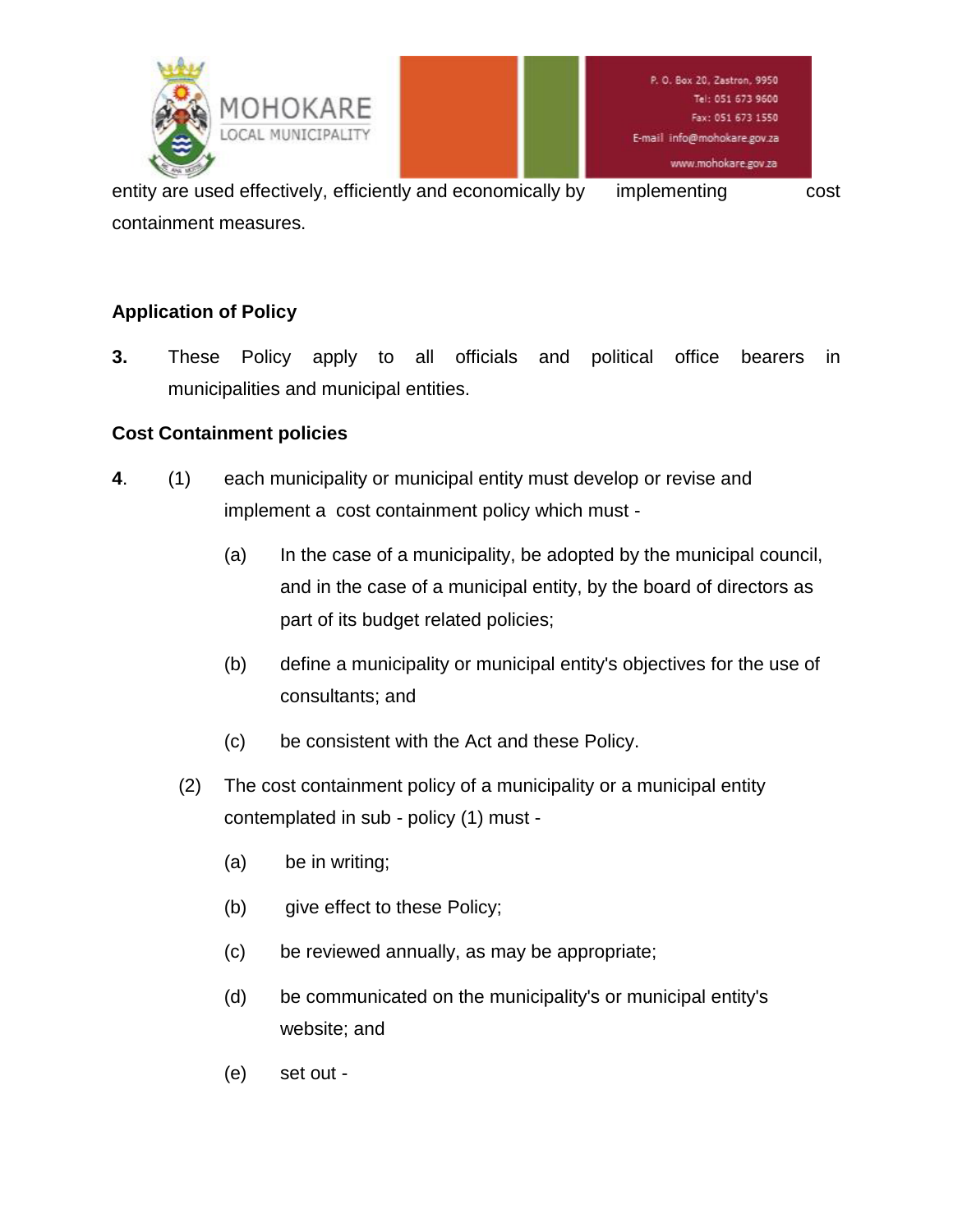

entity are used effectively, efficiently and economically by implementing cost containment measures.

# **Application of Policy**

**3.** These Policy apply to all officials and political office bearers in municipalities and municipal entities.

#### **Cost Containment policies**

- **4**. (1) each municipality or municipal entity must develop or revise and implement a cost containment policy which must -
	- (a) In the case of a municipality, be adopted by the municipal council, and in the case of a municipal entity, by the board of directors as part of its budget related policies;
	- (b) define a municipality or municipal entity's objectives for the use of consultants; and
	- (c) be consistent with the Act and these Policy.
	- (2) The cost containment policy of a municipality or a municipal entity contemplated in sub - policy (1) must -
		- (a) be in writing;
		- (b) give effect to these Policy;
		- (c) be reviewed annually, as may be appropriate;
		- (d) be communicated on the municipality's or municipal entity's website; and
		- (e) set out -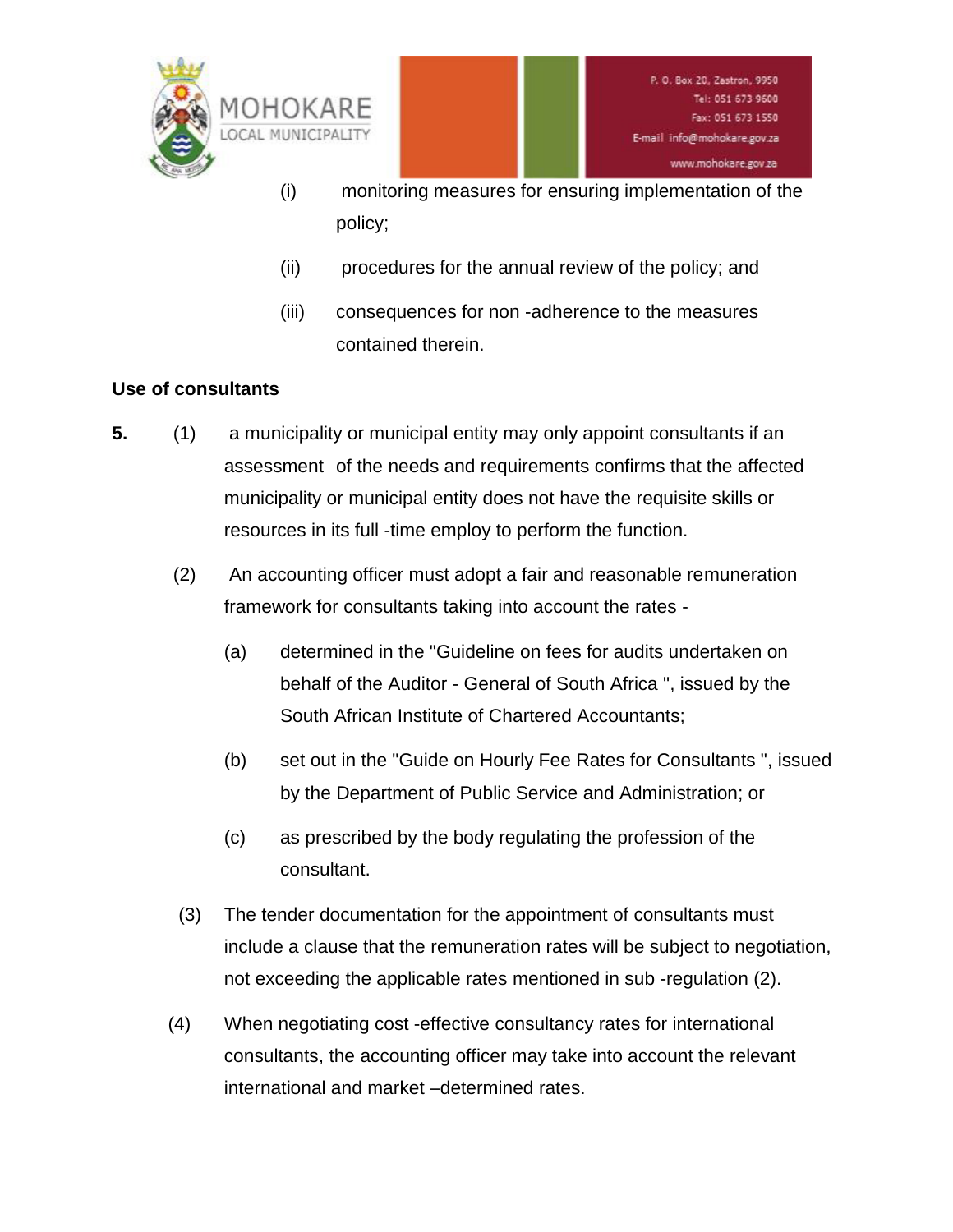

- (i) monitoring measures for ensuring implementation of the policy;
- (ii) procedures for the annual review of the policy; and
- (iii) consequences for non -adherence to the measures contained therein.

# **Use of consultants**

- **5.** (1) a municipality or municipal entity may only appoint consultants if an assessment of the needs and requirements confirms that the affected municipality or municipal entity does not have the requisite skills or resources in its full -time employ to perform the function.
	- (2) An accounting officer must adopt a fair and reasonable remuneration framework for consultants taking into account the rates -
		- (a) determined in the "Guideline on fees for audits undertaken on behalf of the Auditor - General of South Africa ", issued by the South African Institute of Chartered Accountants;
		- (b) set out in the "Guide on Hourly Fee Rates for Consultants ", issued by the Department of Public Service and Administration; or
		- (c) as prescribed by the body regulating the profession of the consultant.
	- (3) The tender documentation for the appointment of consultants must include a clause that the remuneration rates will be subject to negotiation, not exceeding the applicable rates mentioned in sub -regulation (2).
	- (4) When negotiating cost -effective consultancy rates for international consultants, the accounting officer may take into account the relevant international and market –determined rates.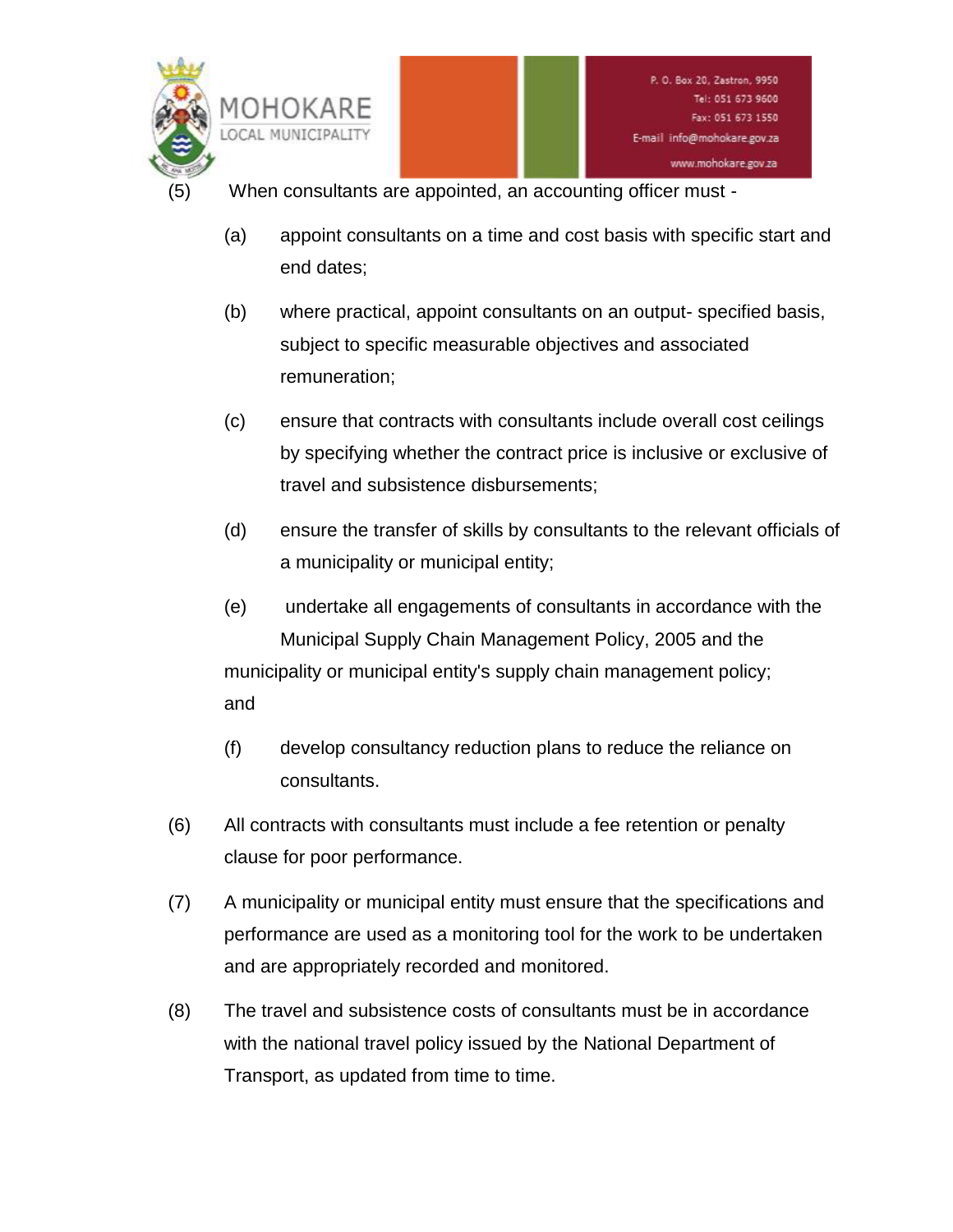

- When consultants are appointed, an accounting officer must -
	- (a) appoint consultants on a time and cost basis with specific start and end dates;
	- (b) where practical, appoint consultants on an output- specified basis, subject to specific measurable objectives and associated remuneration;
	- (c) ensure that contracts with consultants include overall cost ceilings by specifying whether the contract price is inclusive or exclusive of travel and subsistence disbursements;
	- (d) ensure the transfer of skills by consultants to the relevant officials of a municipality or municipal entity;
	- (e) undertake all engagements of consultants in accordance with the Municipal Supply Chain Management Policy, 2005 and the municipality or municipal entity's supply chain management policy; and
	- (f) develop consultancy reduction plans to reduce the reliance on consultants.
- (6) All contracts with consultants must include a fee retention or penalty clause for poor performance.
- (7) A municipality or municipal entity must ensure that the specifications and performance are used as a monitoring tool for the work to be undertaken and are appropriately recorded and monitored.
- (8) The travel and subsistence costs of consultants must be in accordance with the national travel policy issued by the National Department of Transport, as updated from time to time.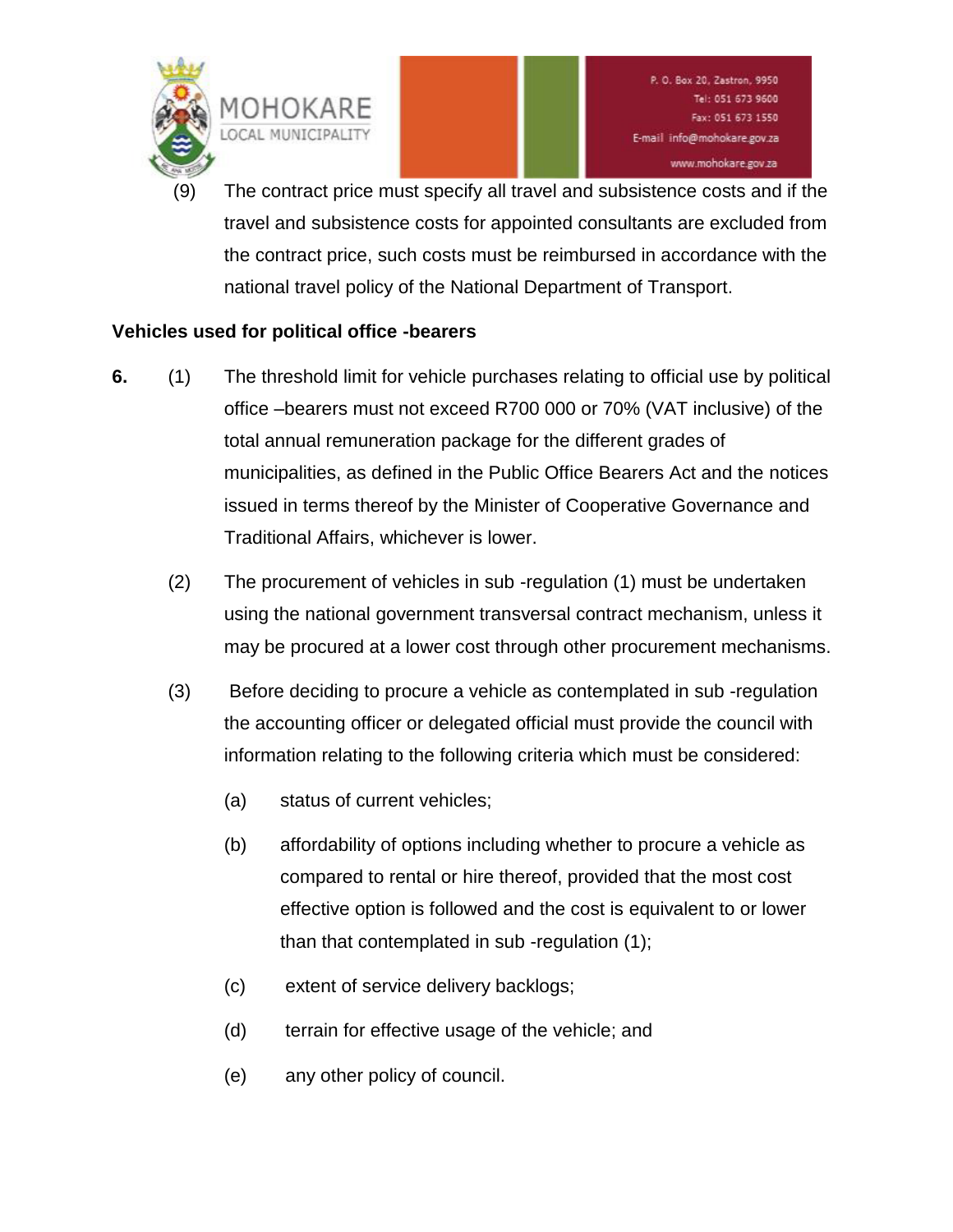

The contract price must specify all travel and subsistence costs and if the travel and subsistence costs for appointed consultants are excluded from the contract price, such costs must be reimbursed in accordance with the national travel policy of the National Department of Transport.

# **Vehicles used for political office -bearers**

- **6.** (1) The threshold limit for vehicle purchases relating to official use by political office –bearers must not exceed R700 000 or 70% (VAT inclusive) of the total annual remuneration package for the different grades of municipalities, as defined in the Public Office Bearers Act and the notices issued in terms thereof by the Minister of Cooperative Governance and Traditional Affairs, whichever is lower.
	- (2) The procurement of vehicles in sub -regulation (1) must be undertaken using the national government transversal contract mechanism, unless it may be procured at a lower cost through other procurement mechanisms.
	- (3) Before deciding to procure a vehicle as contemplated in sub -regulation the accounting officer or delegated official must provide the council with information relating to the following criteria which must be considered:
		- (a) status of current vehicles;
		- (b) affordability of options including whether to procure a vehicle as compared to rental or hire thereof, provided that the most cost effective option is followed and the cost is equivalent to or lower than that contemplated in sub -regulation (1);
		- (c) extent of service delivery backlogs;
		- (d) terrain for effective usage of the vehicle; and
		- (e) any other policy of council.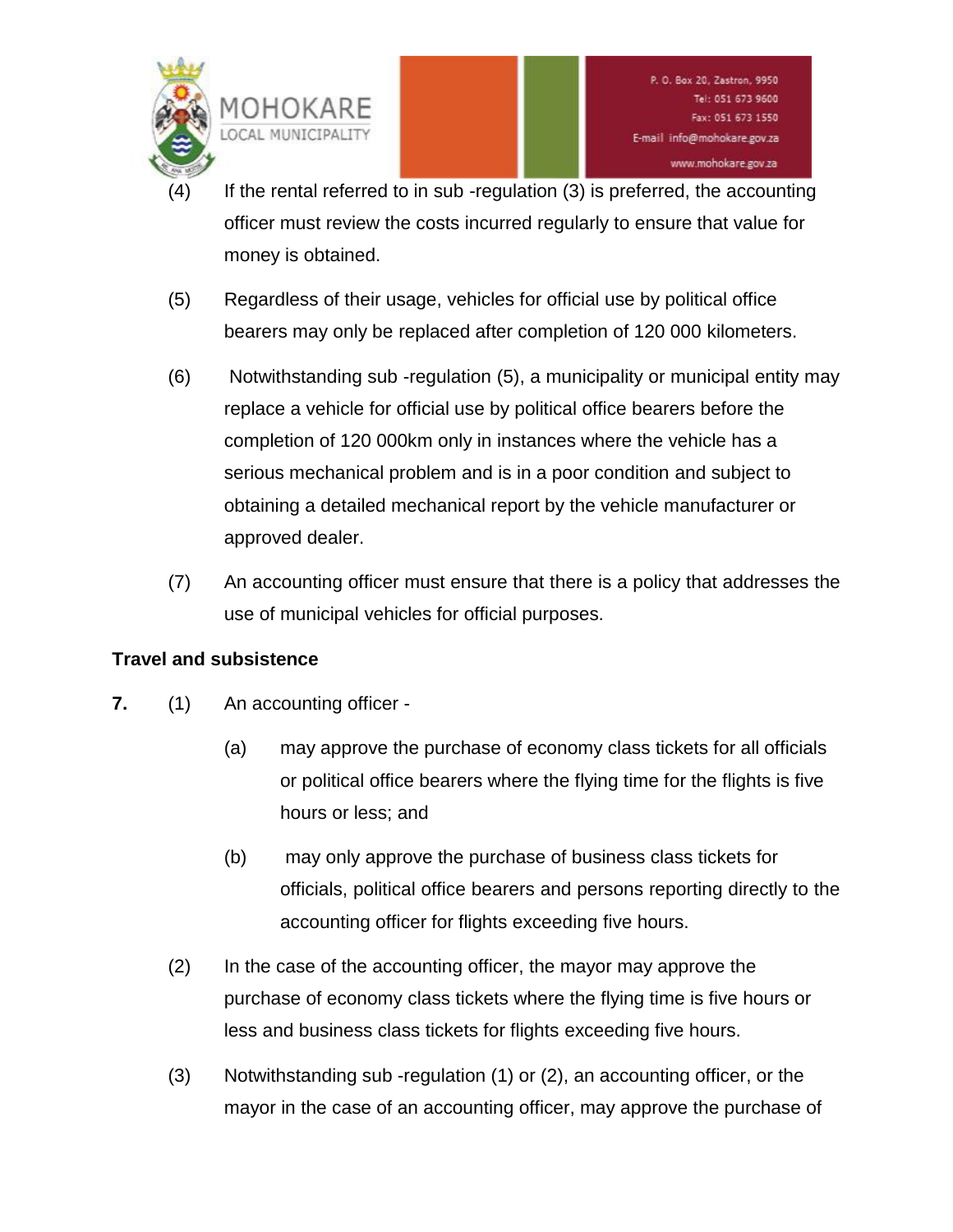

- If the rental referred to in sub -regulation  $(3)$  is preferred, the accounting officer must review the costs incurred regularly to ensure that value for money is obtained.
- (5) Regardless of their usage, vehicles for official use by political office bearers may only be replaced after completion of 120 000 kilometers.
- (6) Notwithstanding sub -regulation (5), a municipality or municipal entity may replace a vehicle for official use by political office bearers before the completion of 120 000km only in instances where the vehicle has a serious mechanical problem and is in a poor condition and subject to obtaining a detailed mechanical report by the vehicle manufacturer or approved dealer.
- (7) An accounting officer must ensure that there is a policy that addresses the use of municipal vehicles for official purposes.

# **Travel and subsistence**

- **7.** (1) An accounting officer
	- (a) may approve the purchase of economy class tickets for all officials or political office bearers where the flying time for the flights is five hours or less; and
	- (b) may only approve the purchase of business class tickets for officials, political office bearers and persons reporting directly to the accounting officer for flights exceeding five hours.
	- (2) In the case of the accounting officer, the mayor may approve the purchase of economy class tickets where the flying time is five hours or less and business class tickets for flights exceeding five hours.
	- (3) Notwithstanding sub -regulation (1) or (2), an accounting officer, or the mayor in the case of an accounting officer, may approve the purchase of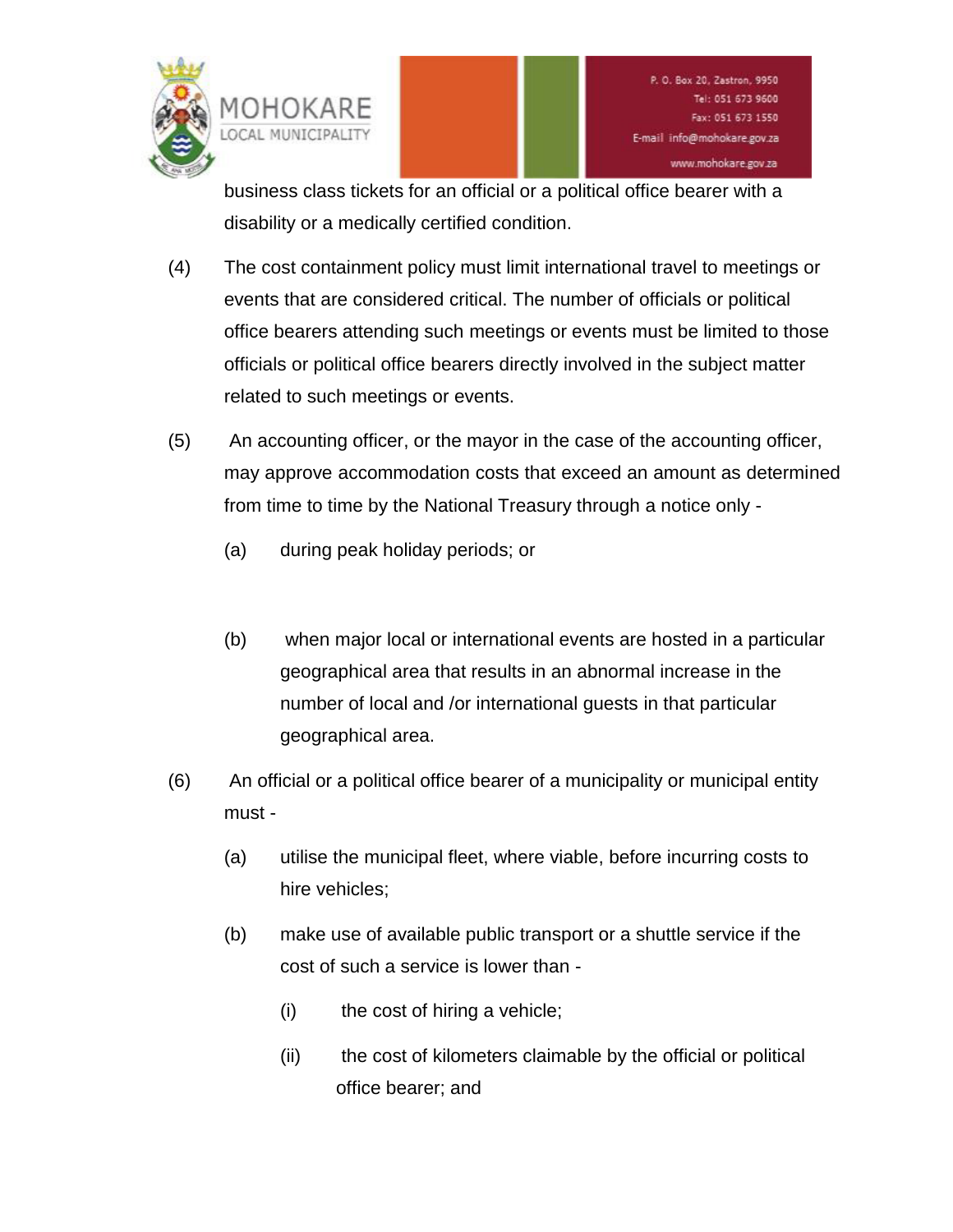

business class tickets for an official or a political office bearer with a disability or a medically certified condition.

- (4) The cost containment policy must limit international travel to meetings or events that are considered critical. The number of officials or political office bearers attending such meetings or events must be limited to those officials or political office bearers directly involved in the subject matter related to such meetings or events.
- (5) An accounting officer, or the mayor in the case of the accounting officer, may approve accommodation costs that exceed an amount as determined from time to time by the National Treasury through a notice only -
	- (a) during peak holiday periods; or
	- (b) when major local or international events are hosted in a particular geographical area that results in an abnormal increase in the number of local and /or international guests in that particular geographical area.
- (6) An official or a political office bearer of a municipality or municipal entity must -
	- (a) utilise the municipal fleet, where viable, before incurring costs to hire vehicles;
	- (b) make use of available public transport or a shuttle service if the cost of such a service is lower than -
		- (i) the cost of hiring a vehicle;
		- (ii) the cost of kilometers claimable by the official or political office bearer; and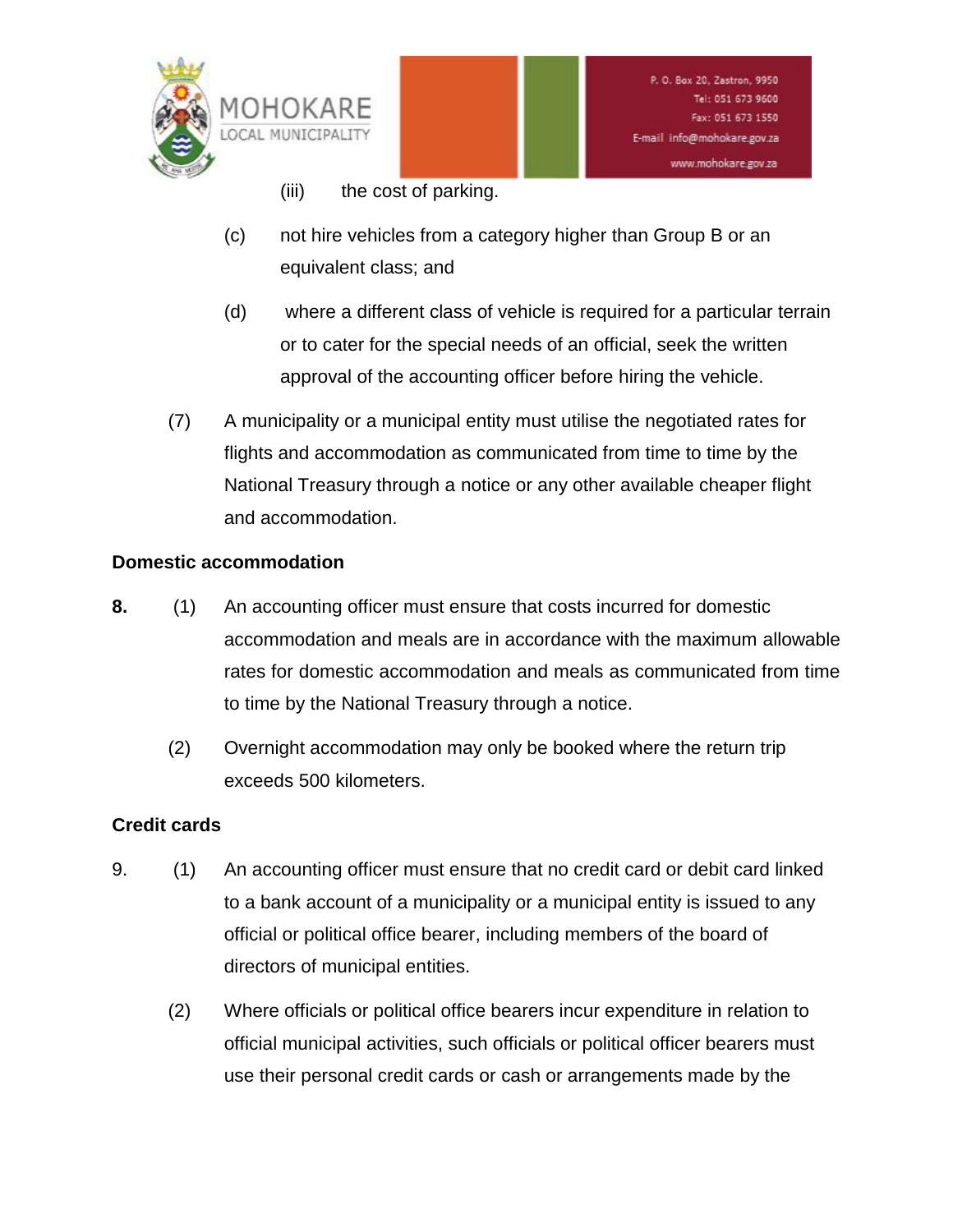

- (iii) the cost of parking.
- (c) not hire vehicles from a category higher than Group B or an equivalent class; and
- (d) where a different class of vehicle is required for a particular terrain or to cater for the special needs of an official, seek the written approval of the accounting officer before hiring the vehicle.
- (7) A municipality or a municipal entity must utilise the negotiated rates for flights and accommodation as communicated from time to time by the National Treasury through a notice or any other available cheaper flight and accommodation.

# **Domestic accommodation**

- **8.** (1) An accounting officer must ensure that costs incurred for domestic accommodation and meals are in accordance with the maximum allowable rates for domestic accommodation and meals as communicated from time to time by the National Treasury through a notice.
	- (2) Overnight accommodation may only be booked where the return trip exceeds 500 kilometers.

# **Credit cards**

- 9. (1) An accounting officer must ensure that no credit card or debit card linked to a bank account of a municipality or a municipal entity is issued to any official or political office bearer, including members of the board of directors of municipal entities.
	- (2) Where officials or political office bearers incur expenditure in relation to official municipal activities, such officials or political officer bearers must use their personal credit cards or cash or arrangements made by the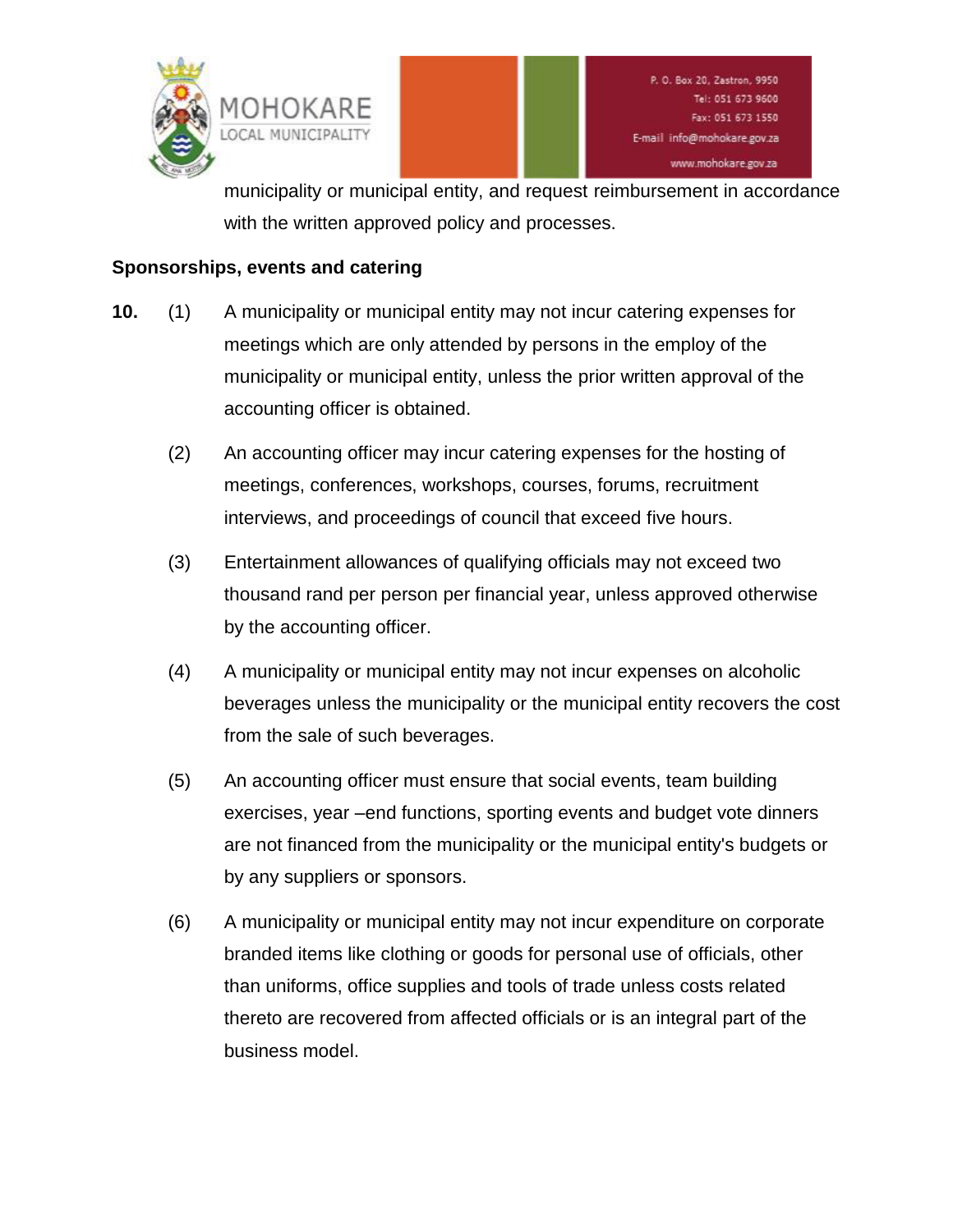

municipality or municipal entity, and request reimbursement in accordance with the written approved policy and processes.

#### **Sponsorships, events and catering**

- **10.** (1) A municipality or municipal entity may not incur catering expenses for meetings which are only attended by persons in the employ of the municipality or municipal entity, unless the prior written approval of the accounting officer is obtained.
	- (2) An accounting officer may incur catering expenses for the hosting of meetings, conferences, workshops, courses, forums, recruitment interviews, and proceedings of council that exceed five hours.
	- (3) Entertainment allowances of qualifying officials may not exceed two thousand rand per person per financial year, unless approved otherwise by the accounting officer.
	- (4) A municipality or municipal entity may not incur expenses on alcoholic beverages unless the municipality or the municipal entity recovers the cost from the sale of such beverages.
	- (5) An accounting officer must ensure that social events, team building exercises, year –end functions, sporting events and budget vote dinners are not financed from the municipality or the municipal entity's budgets or by any suppliers or sponsors.
	- (6) A municipality or municipal entity may not incur expenditure on corporate branded items like clothing or goods for personal use of officials, other than uniforms, office supplies and tools of trade unless costs related thereto are recovered from affected officials or is an integral part of the business model.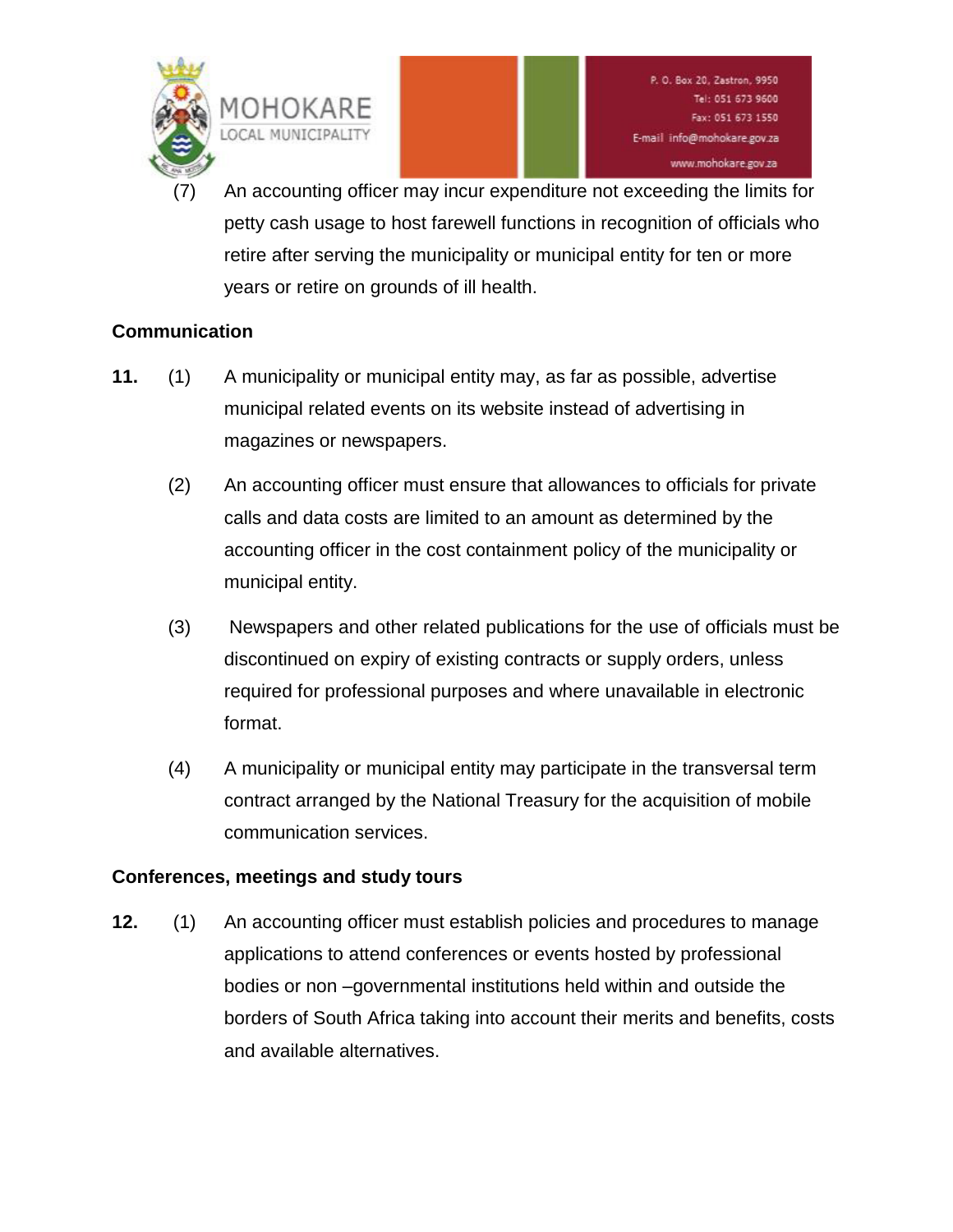

An accounting officer may incur expenditure not exceeding the limits for petty cash usage to host farewell functions in recognition of officials who retire after serving the municipality or municipal entity for ten or more years or retire on grounds of ill health.

# **Communication**

- **11.** (1) A municipality or municipal entity may, as far as possible, advertise municipal related events on its website instead of advertising in magazines or newspapers.
	- (2) An accounting officer must ensure that allowances to officials for private calls and data costs are limited to an amount as determined by the accounting officer in the cost containment policy of the municipality or municipal entity.
	- (3) Newspapers and other related publications for the use of officials must be discontinued on expiry of existing contracts or supply orders, unless required for professional purposes and where unavailable in electronic format.
	- (4) A municipality or municipal entity may participate in the transversal term contract arranged by the National Treasury for the acquisition of mobile communication services.

# **Conferences, meetings and study tours**

**12.** (1) An accounting officer must establish policies and procedures to manage applications to attend conferences or events hosted by professional bodies or non –governmental institutions held within and outside the borders of South Africa taking into account their merits and benefits, costs and available alternatives.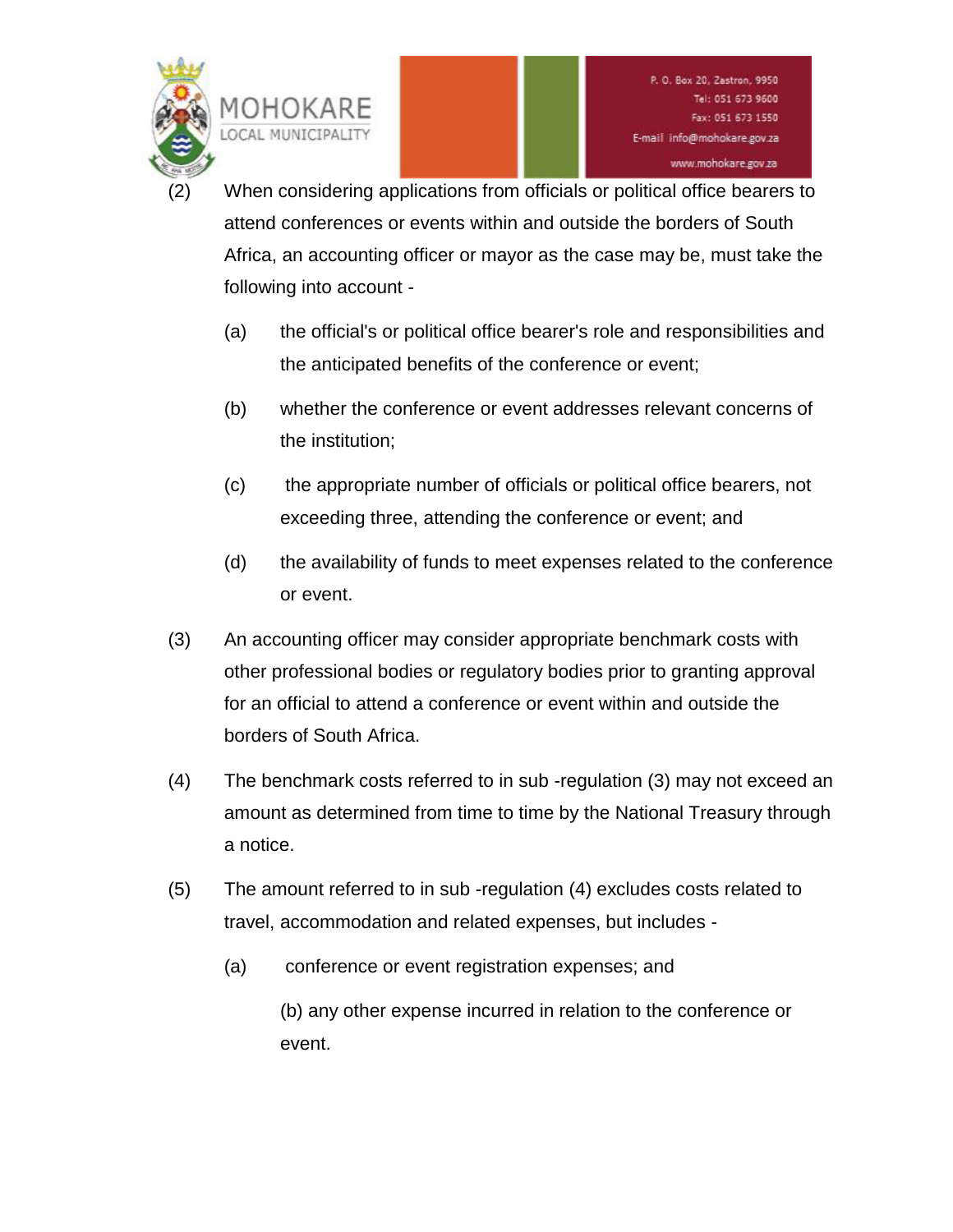

When considering applications from officials or political office bearers to attend conferences or events within and outside the borders of South Africa, an accounting officer or mayor as the case may be, must take the following into account -

- (a) the official's or political office bearer's role and responsibilities and the anticipated benefits of the conference or event;
- (b) whether the conference or event addresses relevant concerns of the institution;
- (c) the appropriate number of officials or political office bearers, not exceeding three, attending the conference or event; and
- (d) the availability of funds to meet expenses related to the conference or event.
- (3) An accounting officer may consider appropriate benchmark costs with other professional bodies or regulatory bodies prior to granting approval for an official to attend a conference or event within and outside the borders of South Africa.
- (4) The benchmark costs referred to in sub -regulation (3) may not exceed an amount as determined from time to time by the National Treasury through a notice.
- (5) The amount referred to in sub -regulation (4) excludes costs related to travel, accommodation and related expenses, but includes -
	- (a) conference or event registration expenses; and
		- (b) any other expense incurred in relation to the conference or event.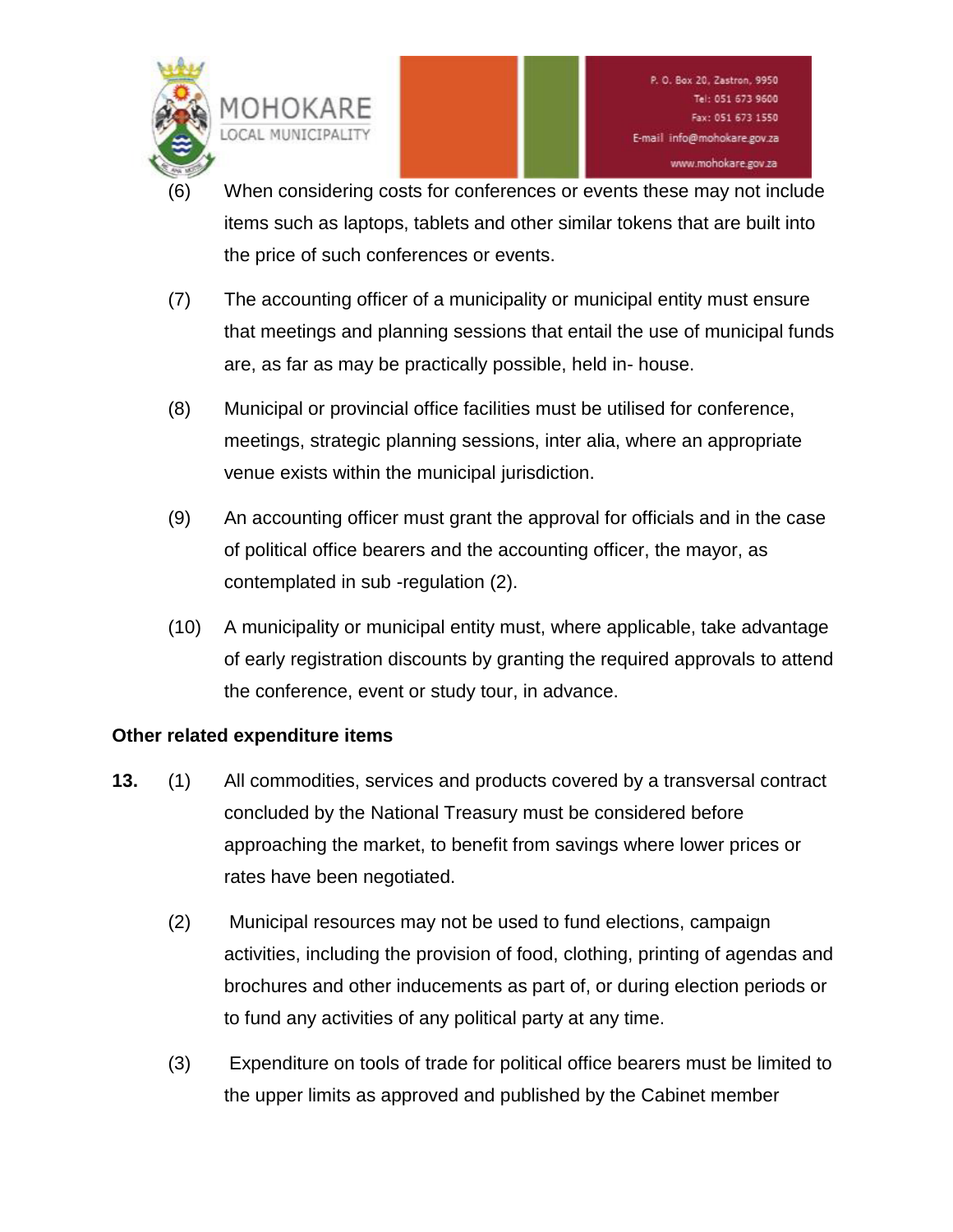

- When considering costs for conferences or events these may not include items such as laptops, tablets and other similar tokens that are built into the price of such conferences or events.
- (7) The accounting officer of a municipality or municipal entity must ensure that meetings and planning sessions that entail the use of municipal funds are, as far as may be practically possible, held in- house.
- (8) Municipal or provincial office facilities must be utilised for conference, meetings, strategic planning sessions, inter alia, where an appropriate venue exists within the municipal jurisdiction.
- (9) An accounting officer must grant the approval for officials and in the case of political office bearers and the accounting officer, the mayor, as contemplated in sub -regulation (2).
- (10) A municipality or municipal entity must, where applicable, take advantage of early registration discounts by granting the required approvals to attend the conference, event or study tour, in advance.

# **Other related expenditure items**

- **13.** (1) All commodities, services and products covered by a transversal contract concluded by the National Treasury must be considered before approaching the market, to benefit from savings where lower prices or rates have been negotiated.
	- (2) Municipal resources may not be used to fund elections, campaign activities, including the provision of food, clothing, printing of agendas and brochures and other inducements as part of, or during election periods or to fund any activities of any political party at any time.
	- (3) Expenditure on tools of trade for political office bearers must be limited to the upper limits as approved and published by the Cabinet member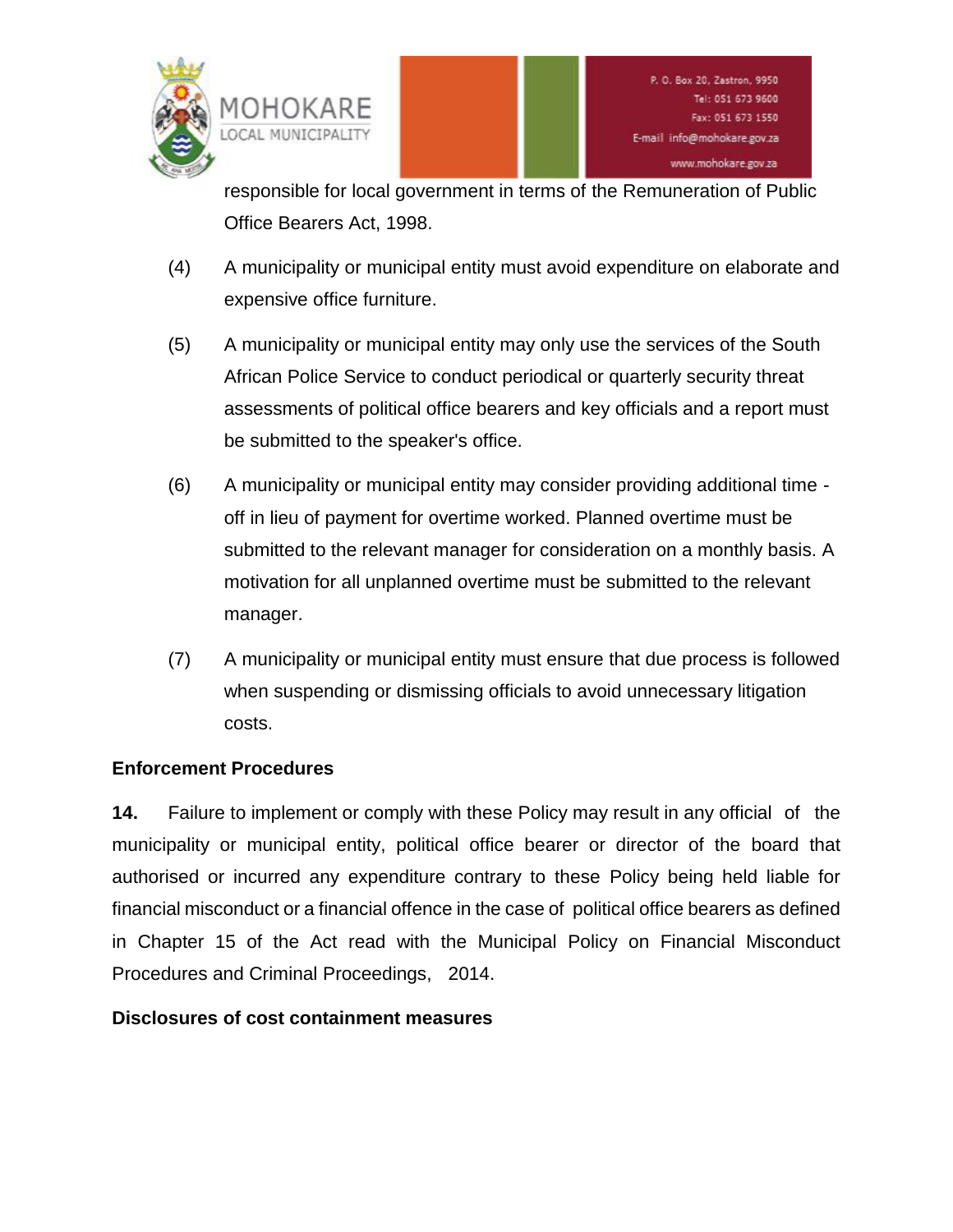

responsible for local government in terms of the Remuneration of Public Office Bearers Act, 1998.

- (4) A municipality or municipal entity must avoid expenditure on elaborate and expensive office furniture.
- (5) A municipality or municipal entity may only use the services of the South African Police Service to conduct periodical or quarterly security threat assessments of political office bearers and key officials and a report must be submitted to the speaker's office.
- (6) A municipality or municipal entity may consider providing additional time off in lieu of payment for overtime worked. Planned overtime must be submitted to the relevant manager for consideration on a monthly basis. A motivation for all unplanned overtime must be submitted to the relevant manager.
- (7) A municipality or municipal entity must ensure that due process is followed when suspending or dismissing officials to avoid unnecessary litigation costs.

# **Enforcement Procedures**

**14.** Failure to implement or comply with these Policy may result in any official of the municipality or municipal entity, political office bearer or director of the board that authorised or incurred any expenditure contrary to these Policy being held liable for financial misconduct or a financial offence in the case of political office bearers as defined in Chapter 15 of the Act read with the Municipal Policy on Financial Misconduct Procedures and Criminal Proceedings, 2014.

# **Disclosures of cost containment measures**